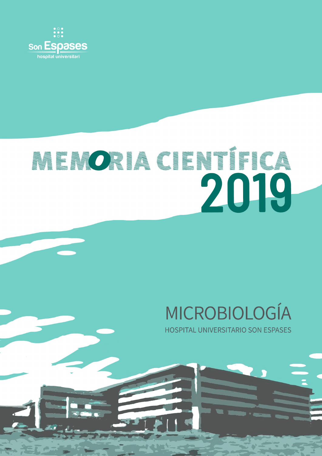

# MEMORIA CIENTÍFICA

## MICROBIOLOGÍA TAL UNIVERSITARIO SON ESPASES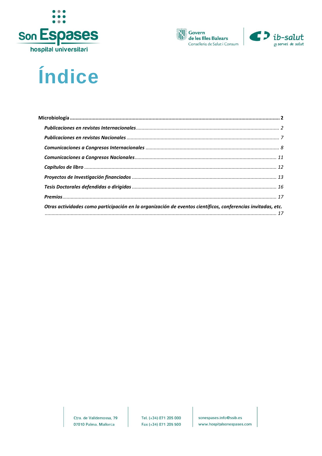





# Índice

| Otras actividades como participación en la organización de eventos científicos, conferencias invitadas, etc. |  |
|--------------------------------------------------------------------------------------------------------------|--|

Ctra. de Valldemossa, 79 07010 Palma. Mallorca

sonespases.info@ssib.es www.hospitalsonespases.com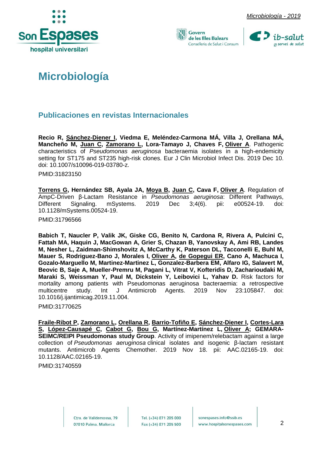





### <span id="page-2-0"></span>**Microbiología**

#### <span id="page-2-1"></span>**Publicaciones en revistas Internacionales**

**Recio R, Sánchez-Diener I, Viedma E, Meléndez-Carmona MÁ, Villa J, Orellana MÁ, Mancheño M, Juan C, Zamorano L, Lora-Tamayo J, Chaves F, Oliver A**. Pathogenic characteristics of *Pseudomonas aeruginosa* bacteraemia isolates in a high-endemicity setting for ST175 and ST235 high-risk clones. Eur J Clin Microbiol Infect Dis. 2019 Dec 10. doi: 10.1007/s10096-019-03780-z.

PMID:31823150

**Torrens G, Hernández SB, Ayala JA, Moya B, Juan C, Cava F, Oliver A**. Regulation of AmpC-Driven β-Lactam Resistance in *Pseudomonas aeruginosa*: Different Pathways, Different Signaling. mSystems. 2019 Dec 3;4(6). pii: e00524-19. doi: 10.1128/mSystems.00524-19.

PMID:31796566

**Babich T, Naucler P, Valik JK, Giske CG, Benito N, Cardona R, Rivera A, Pulcini C, Fattah MA, Haquin J, MacGowan A, Grier S, Chazan B, Yanovskay A, Ami RB, Landes M, Nesher L, Zaidman-Shimshovitz A, McCarthy K, Paterson DL, Tacconelli E, Buhl M, Mauer S, Rodriguez-Bano J, Morales I, Oliver A, de Gopegui ER, Cano A, Machuca I, Gozalo-Marguello M, Martinez-Martinez L, Gonzalez-Barbera EM, Alfaro IG, Salavert M, Beovic B, Saje A, Mueller-Premru M, Pagani L, Vitrat V, Kofteridis D, Zacharioudaki M,**  Maraki S, Weissman Y, Paul M, Dickstein Y, Leibovici L, Yahav D. Risk factors for mortality among patients with Pseudomonas aeruginosa bacteraemia: a retrospective multicentre study. Int J Antimicrob Agents. 2019 Nov 23:105847. doi: 10.1016/j.ijantimicag.2019.11.004.

PMID:31770625

**Fraile-Ribot P, Zamorano L, Orellana R, Barrio-Tofiño E, Sánchez-Diener I, Cortes-Lara S, López-Causapé C, Cabot G, Bou G, Martínez-Martínez L, Oliver A; GEMARA-SEIMC/REIPI Pseudomonas study Group**. [Activity of imipenem/relebactam against a large](https://www.ncbi.nlm.nih.gov/pubmed/31740559)  collection of *Pseudomonas aeruginosa* [clinical isolates and isogenic β-lactam resistant](https://www.ncbi.nlm.nih.gov/pubmed/31740559)  [mutants.](https://www.ncbi.nlm.nih.gov/pubmed/31740559) Antimicrob Agents Chemother. 2019 Nov 18. pii: AAC.02165-19. doi: 10.1128/AAC.02165-19.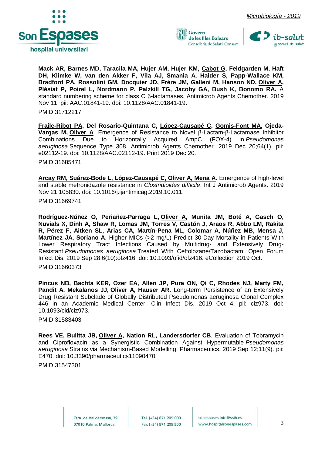





**Mack AR, Barnes MD, Taracila MA, Hujer AM, Hujer KM, Cabot G, Feldgarden M, Haft DH, Klimke W, van den Akker F, Vila AJ, Smania A, Haider S, Papp-Wallace KM, Bradford PA, Rossolini GM, Docquier JD, Frère JM, Galleni M, Hanson ND, Oliver A, Plésiat P, Poirel L, Nordmann P, Palzkill TG, Jacoby GA, Bush K, Bonomo RA.** [A](https://www.ncbi.nlm.nih.gov/pubmed/31712217)  [standard numbering scheme for class C β-lactamases.](https://www.ncbi.nlm.nih.gov/pubmed/31712217) Antimicrob Agents Chemother. 2019 Nov 11. pii: AAC.01841-19. doi: 10.1128/AAC.01841-19.

PMID:31712217

**Fraile-Ribot PA, Del Rosario-Quintana C, López-Causapé C, Gomis-Font MA, Ojeda-Vargas M, Oliver A**. Emergence of Resistance to Novel β-Lactam-β-Lactamase Inhibitor Combinations Due to Horizontally Acquired AmpC (FOX-4) in *Pseudomonas aeruginosa* Sequence Type 308. Antimicrob Agents Chemother. 2019 Dec 20;64(1). pii: e02112-19. doi: 10.1128/AAC.02112-19. Print 2019 Dec 20.

PMID:31685471

**Arcay RM, Suárez-Bode L, López-Causapé C, Oliver A, Mena A**. Emergence of high-level and stable metronidazole resistance in *Clostridioides difficile*. Int J Antimicrob Agents. 2019 Nov 21:105830. doi: 10.1016/j.ijantimicag.2019.10.011. PMID:31669741

**Rodríguez-Núñez O, Periañez-Parraga L, Oliver A, Munita JM, Boté A, Gasch O, Nuvials X, Dinh A, Shaw R, Lomas JM, Torres V, Castón J, Araos R, Abbo LM, Rakita R, Pérez F, Aitken SL, Arias CA, Martín-Pena ML, Colomar A, Núñez MB, Mensa J, Martínez JA, Soriano A**. Higher MICs (>2 mg/L) Predict 30-Day Mortality in Patients With Lower Respiratory Tract Infections Caused by Multidrug- and Extensively Drug-Resistant *Pseudomonas aeruginosa* Treated With Ceftolozane/Tazobactam. Open Forum Infect Dis. 2019 Sep 28;6(10):ofz416. doi: 10.1093/ofid/ofz416. eCollection 2019 Oct. PMID:31660373

**Pincus NB, Bachta KER, Ozer EA, Allen JP, Pura ON, Qi C, Rhodes NJ, Marty FM, Pandit A, Mekalanos JJ, Oliver A, Hauser AR**. Long-term Persistence of an Extensively Drug Resistant Subclade of Globally Distributed Pseudomonas aeruginosa Clonal Complex 446 in an Academic Medical Center. Clin Infect Dis. 2019 Oct 4. pii: ciz973. doi: 10.1093/cid/ciz973.

PMID:31583403

**Rees VE, Bulitta JB, Oliver A, Nation RL, Landersdorfer CB**. Evaluation of Tobramycin and Ciprofloxacin as a Synergistic Combination Against Hypermutable *Pseudomonas aeruginosa* Strains via Mechanism-Based Modelling. Pharmaceutics. 2019 Sep 12;11(9). pii: E470. doi: 10.3390/pharmaceutics11090470.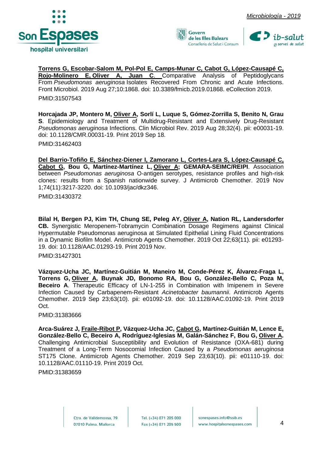





**Torrens G, Escobar-Salom M, Pol-Pol E, Camps-Munar C, Cabot G, López-Causapé C, Rojo-Molinero E, Oliver A, Juan C**. Comparative Analysis of Peptidoglycans From *Pseudomonas aeruginosa* Isolates Recovered From Chronic and Acute Infections. Front Microbiol. 2019 Aug 27;10:1868. doi: 10.3389/fmicb.2019.01868. eCollection 2019. PMID:31507543

**Horcajada JP, Montero M, Oliver A, Sorlí L, Luque S, Gómez-Zorrilla S, Benito N, Grau S**. Epidemiology and Treatment of Multidrug-Resistant and Extensively Drug-Resistant *Pseudomonas aeruginosa* Infections. Clin Microbiol Rev. 2019 Aug 28;32(4). pii: e00031-19. doi: 10.1128/CMR.00031-19. Print 2019 Sep 18.

PMID:31462403

**Del Barrio-Tofiño E, Sánchez-Diener I, Zamorano L, Cortes-Lara S, López-Causapé C, Cabot G, Bou G, Martínez-Martínez L, Oliver A; GEMARA-SEIMC/REIPI**. Association between *Pseudomonas aeruginosa* O-antigen serotypes, resistance profiles and high-risk clones: results from a Spanish nationwide survey. J Antimicrob Chemother. 2019 Nov 1;74(11):3217-3220. doi: 10.1093/jac/dkz346.

PMID:31430372

**Bilal H, Bergen PJ, Kim TH, Chung SE, Peleg AY, Oliver A, Nation RL, Landersdorfer CB.** Synergistic Meropenem-Tobramycin Combination Dosage Regimens against Clinical Hypermutable Pseudomonas aeruginosa at Simulated Epithelial Lining Fluid Concentrations in a Dynamic Biofilm Model. Antimicrob Agents Chemother. 2019 Oct 22;63(11). pii: e01293- 19. doi: 10.1128/AAC.01293-19. Print 2019 Nov.

PMID:31427301

**Vázquez-Ucha JC, Martínez-Guitián M, Maneiro M, Conde-Pérez K, Álvarez-Fraga L, Torrens G, Oliver A, Buynak JD, Bonomo RA, Bou G, González-Bello C, Poza M, Beceiro A**. Therapeutic Efficacy of LN-1-255 in Combination with Imipenem in Severe Infection Caused by Carbapenem-Resistant *Acinetobacter baumannii*. Antimicrob Agents Chemother. 2019 Sep 23;63(10). pii: e01092-19. doi: 10.1128/AAC.01092-19. Print 2019 Oct.

PMID:31383666

**Arca-Suárez J, Fraile-Ribot P, Vázquez-Ucha JC, Cabot G, Martínez-Guitián M, Lence E, González-Bello C, Beceiro A, Rodríguez-Iglesias M, Galán-Sánchez F, Bou G, Oliver A.** Challenging Antimicrobial Susceptibility and Evolution of Resistance (OXA-681) during Treatment of a Long-Term Nosocomial Infection Caused by a *Pseudomonas aeruginosa* ST175 Clone. Antimicrob Agents Chemother. 2019 Sep 23;63(10). pii: e01110-19. doi: 10.1128/AAC.01110-19. Print 2019 Oct.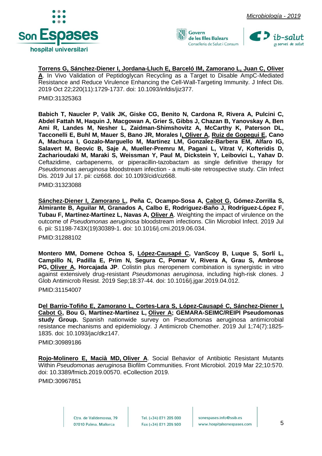







**Torrens G, Sánchez-Diener I, Jordana-Lluch E, Barceló IM, Zamorano L, Juan C, Oliver A**. In Vivo Validation of Peptidoglycan Recycling as a Target to Disable AmpC-Mediated Resistance and Reduce Virulence Enhancing the Cell-Wall-Targeting Immunity. J Infect Dis. 2019 Oct 22;220(11):1729-1737. doi: 10.1093/infdis/jiz377.

PMID:31325363

**Babich T, Naucler P, Valik JK, Giske CG, Benito N, Cardona R, Rivera A, Pulcini C, Abdel Fattah M, Haquin J, Macgowan A, Grier S, Gibbs J, Chazan B, Yanovskay A, Ben Ami R, Landes M, Nesher L, Zaidman-Shimshovitz A, McCarthy K, Paterson DL, Tacconelli E, Buhl M, Mauer S, Bano JR, Morales I, Oliver A, Ruiz de Gopegui E, Cano A, Machuca I, Gozalo-Marguello M, Martinez LM, Gonzalez-Barbera EM, Alfaro IG, Salavert M, Beovic B, Saje A, Mueller-Premru M, Pagani L, Vitrat V, Kofteridis D, Zacharioudaki M, Maraki S, Weissman Y, Paul M, Dickstein Y, Leibovici L, Yahav D.** Ceftazidime, carbapenems, or piperacillin-tazobactam as single definitive therapy for *Pseudomonas aeruginosa* bloodstream infection - a multi-site retrospective study. Clin Infect Dis. 2019 Jul 17. pii: ciz668. doi: 10.1093/cid/ciz668.

PMID:31323088

**Sánchez-Diener I, Zamorano L, Peña C, Ocampo-Sosa A, Cabot G, Gómez-Zorrilla S, Almirante B, Aguilar M, Granados A, Calbo E, Rodriguez-Baño J, Rodríguez-López F, Tubau F, Martínez-Martínez L, Navas A, Oliver A**. Weighting the impact of virulence on the outcome of *Pseudomonas aeruginosa* bloodstream infections. Clin Microbiol Infect. 2019 Jul 6. pii: S1198-743X(19)30389-1. doi: 10.1016/j.cmi.2019.06.034. PMID:31288102

**Montero MM, Domene Ochoa S, López-Causapé C, VanScoy B, Luque S, Sorlí L, Campillo N, Padilla E, Prim N, Segura C, Pomar V, Rivera A, Grau S, Ambrose PG, Oliver A, Horcajada JP**. Colistin plus meropenem combination is synergistic in vitro against extensively drug-resistant *Pseudomonas aeruginosa*, including high-risk clones. J Glob Antimicrob Resist. 2019 Sep;18:37-44. doi: 10.1016/j.jgar.2019.04.012. PMID:31154007

**Del Barrio-Tofiño E, Zamorano L, Cortes-Lara S, López-Causapé C, Sánchez-Diener I, Cabot G, Bou G, Martínez-Martínez L, Oliver A; GEMARA-SEIMC/REIPI Pseudomonas study Group.** [Spanish nationwide survey on Pseudomonas aeruginosa antimicrobial](https://www.ncbi.nlm.nih.gov/pubmed/30989186)  [resistance mechanisms and epidemiology.](https://www.ncbi.nlm.nih.gov/pubmed/30989186) J Antimicrob Chemother. 2019 Jul 1;74(7):1825- 1835. doi: 10.1093/jac/dkz147.

PMID:30989186

**Rojo-Molinero E, Macià MD, Oliver A**. Social Behavior of Antibiotic Resistant Mutants Within *Pseudomonas aeruginosa* Biofilm Communities. Front Microbiol. 2019 Mar 22;10:570. doi: 10.3389/fmicb.2019.00570. eCollection 2019.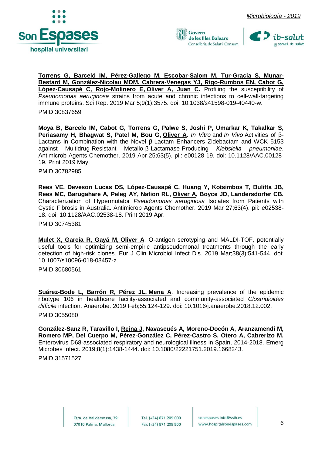





**Torrens G, Barceló IM, Pérez-Gallego M, Escobar-Salom M, Tur-Gracia S, Munar-Bestard M, González-Nicolau MDM, Cabrera-Venegas YJ, Rigo-Rumbos EN, Cabot G, López-Causapé C, Rojo-Molinero E, Oliver A, Juan C.** Profiling the susceptibility of *Pseudomonas aeruginosa* strains from acute and chronic infections to cell-wall-targeting immune proteins. Sci Rep. 2019 Mar 5;9(1):3575. doi: 10.1038/s41598-019-40440-w. PMID:30837659

**Moya B, Barcelo IM, Cabot G, Torrens G, Palwe S, Joshi P, Umarkar K, Takalkar S, Periasamy H, Bhagwat S, Patel M, Bou G, Oliver A**. *In Vitro* and *In Vivo* Activities of β-Lactams in Combination with the Novel β-Lactam Enhancers Zidebactam and WCK 5153 against Multidrug-Resistant Metallo-β-Lactamase-Producing *Klebsiella pneumoniae*. Antimicrob Agents Chemother. 2019 Apr 25;63(5). pii: e00128-19. doi: 10.1128/AAC.00128- 19. Print 2019 May.

PMID:30782985

**Rees VE, Deveson Lucas DS, López-Causapé C, Huang Y, Kotsimbos T, Bulitta JB, Rees MC, Barugahare A, Peleg AY, Nation RL, Oliver A, Boyce JD, Landersdorfer CB.**  Characterization of Hypermutator *Pseudomonas aeruginosa* Isolates from Patients with Cystic Fibrosis in Australia. Antimicrob Agents Chemother. 2019 Mar 27;63(4). pii: e02538- 18. doi: 10.1128/AAC.02538-18. Print 2019 Apr.

PMID:30745381

**Mulet X, García R, Gayá M, Oliver A**. [O-antigen serotyping and MALDI-TOF, potentially](https://www.ncbi.nlm.nih.gov/pubmed/30680561)  [useful tools for optimizing semi-empiric antipseudomonal treatments through the early](https://www.ncbi.nlm.nih.gov/pubmed/30680561)  [detection of high-risk clones.](https://www.ncbi.nlm.nih.gov/pubmed/30680561) Eur J Clin Microbiol Infect Dis. 2019 Mar;38(3):541-544. doi: 10.1007/s10096-018-03457-z.

PMID:30680561

**Suárez-Bode L, Barrón R, Pérez JL, Mena A**. Increasing prevalence of the epidemic ribotype 106 in healthcare facility-associated and community-associated *Clostridioides difficile* infection. Anaerobe. 2019 Feb;55:124-129. doi: 10.1016/j.anaerobe.2018.12.002. PMID:3055080

**González-Sanz R, Taravillo I, Reina J, Navascués A, Moreno-Docón A, Aranzamendi M, Romero MP, Del Cuerpo M, Pérez-González C, Pérez-Castro S, Otero A, Cabrerizo M.** Enterovirus D68-associated respiratory and neurological illness in Spain, 2014-2018. Emerg Microbes Infect. 2019;8(1):1438-1444. doi: 10.1080/22221751.2019.1668243.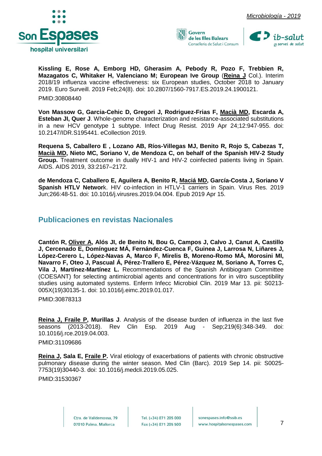







**Kissling E, Rose A, Emborg HD, Gherasim A, Pebody R, Pozo F, Trebbien R, Mazagatos C, Whitaker H, Valenciano M; European Ive Group** (**Reina J** Col.). [Interim](https://www.ncbi.nlm.nih.gov/pubmed/30808440)  [2018/19 influenza vaccine effectiveness: six European studies, October 2018 to January](https://www.ncbi.nlm.nih.gov/pubmed/30808440)  [2019.](https://www.ncbi.nlm.nih.gov/pubmed/30808440) Euro Surveill. 2019 Feb;24(8). doi: 10.2807/1560-7917.ES.2019.24.1900121. PMID:30808440

**Von Massow G, Garcia-Cehic D, Gregori J, Rodriguez-Frias F, Macià MD, Escarda A, Esteban JI, Quer J**. Whole-genome characterization and resistance-associated substitutions in a new HCV genotype 1 subtype. Infect Drug Resist. 2019 Apr 24;12:947-955. doi: 10.2147/IDR.S195441. eCollection 2019.

**Requena S, Caballero E , Lozano AB, Ríos-Villegas MJ, Benito R, Rojo S, Cabezas T, Macià MD, Nieto MC, Soriano V, de Mendoza C, on behalf of the Spanish HIV-2 Study Group.** Treatment outcome in dually HIV-1 and HIV-2 coinfected patients living in Spain. AIDS. AIDS 2019, 33:2167–2172.

**de Mendoza C, Caballero E, Aguilera A, Benito R, Maciá MD, García-Costa J, Soriano V Spanish HTLV Networ**k. HIV co-infection in HTLV-1 carriers in Spain. Virus Res. 2019 Jun;266:48-51. doi: 10.1016/j.virusres.2019.04.004. Epub 2019 Apr 15.

#### <span id="page-7-0"></span>**Publicaciones en revistas Nacionales**

**Cantón R, Oliver A, Alós JI, de Benito N, Bou G, Campos J, Calvo J, Canut A, Castillo J, Cercenado E, Domínguez MÁ, Fernández-Cuenca F, Guinea J, Larrosa N, Liñares J, López-Cerero L, López-Navas A, Marco F, Mirelis B, Moreno-Romo MÁ, Morosini MI, Navarro F, Oteo J, Pascual Á, Pérez-Trallero E, Pérez-Vázquez M, Soriano A, Torres C, Vila J, Martínez-Martínez L.** [Recommendations of the Spanish Antibiogram Committee](https://www.ncbi.nlm.nih.gov/pubmed/30878313)  [\(COESANT\) for selecting antimicrobial agents and concentrations for in vitro susceptibility](https://www.ncbi.nlm.nih.gov/pubmed/30878313)  [studies using automated systems.](https://www.ncbi.nlm.nih.gov/pubmed/30878313) Enferm Infecc Microbiol Clin. 2019 Mar 13. pii: S0213- 005X(19)30135-1. doi: 10.1016/j.eimc.2019.01.017.

PMID:30878313

**Reina J, Fraile P, Murillas J**. Analysis of the disease burden of influenza in the last five seasons (2013-2018). Rev Clin Esp. 2019 Aug - Sep;219(6):348-349. doi: 10.1016/j.rce.2019.04.003.

PMID:31109686

**Reina J, Sala E, Fraile P.** Viral etiology of exacerbations of patients with chronic obstructive pulmonary disease during the winter season. Med Clin (Barc). 2019 Sep 14. pii: S0025- 7753(19)30440-3. doi: 10.1016/j.medcli.2019.05.025.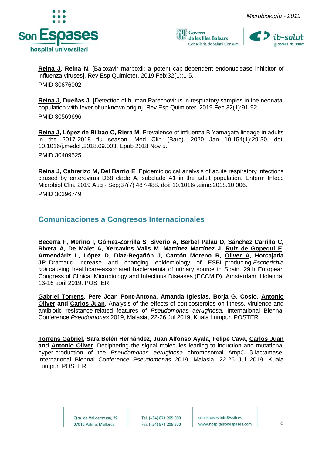







**Reina J, Reina N**. [Baloxavir marboxil: a potent cap-dependent endonuclease inhibitor of influenza viruses]. Rev Esp Quimioter. 2019 Feb;32(1):1-5. PMID:30676002

**Reina J, Dueñas J**. [Detection of human Parechovirus in respiratory samples in the neonatal population with fever of unknown origin]. Rev Esp Quimioter. 2019 Feb;32(1):91-92. PMID:30569696

**Reina J, López de Bilbao C, Riera M**. Prevalence of influenza B Yamagata lineage in adults in the 2017-2018 flu season. Med Clin (Barc). 2020 Jan 10;154(1):29-30. doi: 10.1016/j.medcli.2018.09.003. Epub 2018 Nov 5. PMID:30409525

**Reina J, Cabrerizo M, Del Barrio E**. Epidemiological analysis of acute respiratory infections caused by enterovirus D68 clade A, subclade A1 in the adult population. Enferm Infecc Microbiol Clin. 2019 Aug - Sep;37(7):487-488. doi: 10.1016/j.eimc.2018.10.006. PMID:30396749

#### <span id="page-8-0"></span>**Comunicaciones a Congresos Internacionales**

**Becerra F, Merino I, Gómez-Zorrilla S, Siverio A, Berbel Palau D, Sánchez Carrillo C, Rivera A, De Malet A, Xercavins Valls M, Martínez Martínez J, Ruiz de Gopegui E, Armendáriz L, López D, Díaz-Regañón J, Cantón Moreno R, Oliver A, Horcajada JP.** Dramatic increase and changing epidemiology of ESBL-producing *Escherichia coli* causing healthcare-associated bacteraemia of urinary source in Spain. 29th European Congress of Clinical Microbiology and Infectious Diseases (ECCMID). Amsterdam, Holanda, 13-16 abril 2019. POSTER

**Gabriel Torrens, Pere Joan Pont-Antona, Amanda Iglesias, Borja G. Cosío, Antonio Oliver and Carlos Juan**. Analysis of the effects of corticosteroids on fitness, virulence and antibiotic resistance-related features of *Pseudomonas aeruginosa*. International Biennal Conference *Pseudomonas* 2019, Malasia, 22-26 Jul 2019, Kuala Lumpur. POSTER

**Torrens Gabriel, Sara Belén Hernández, Juan Alfonso Ayala, Felipe Cava, Carlos Juan and Antonio Oliver**. Deciphering the signal molecules leading to induction and mutational hyper-production of the *Pseudomonas aeruginosa* chromosomal AmpC β-lactamase. International Biennal Conference *Pseudomonas* 2019, Malasia, 22-26 Jul 2019, Kuala Lumpur. POSTER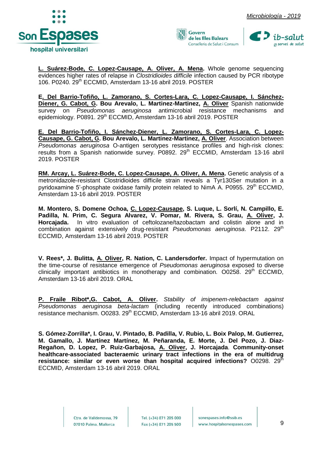





**L. Suárez-Bode, C. Lopez-Causape, A. Oliver, A. Mena.** Whole genome sequencing evidences higher rates of relapse in *Clostridioides difficile* infection caused by PCR ribotype 106. P0240. 29<sup>th</sup> ECCMID, Amsterdam 13-16 abril 2019. POSTER

**E. Del Barrio-Tofiño, L. Zamorano, S. Cortes-Lara, C. Lopez-Causape, I. Sánchez-Diener, G. Cabot, G. Bou Arevalo, L. Martinez-Martinez, A. Oliver** Spanish nationwide survey on *Pseudomonas aeruginosa* antimicrobial resistance mechanisms and epidemiology. P0891. 29<sup>th</sup> ECCMID. Amsterdam 13-16 abril 2019. POSTER

**E. Del Barrio-Tofiño, I. Sánchez-Diener, L. Zamorano, S. Cortes-Lara, C. Lopez-Causape, G. Cabot, G. Bou Arevalo, L. Martinez-Martinez, A. Oliver**. Association between *Pseudomonas aeruginosa* O-antigen serotypes resistance profiles and high-risk clones: results from a Spanish nationwide survey. P0892. 29<sup>th</sup> ECCMID, Amsterdam 13-16 abril 2019. POSTER

**RM. Arcay, L. Suárez-Bode, C. Lopez-Causape, A. Oliver, A. Mena.** Genetic analysis of a metronidazole-resistant Clostridioides difficile strain reveals a Tyr130Ser mutation in a pyridoxamine 5'-phosphate oxidase family protein related to NimA A. P0955.  $29<sup>th</sup>$  ECCMID, Amsterdam 13-16 abril 2019. POSTER

**M. Montero, S. Domene Ochoa, C. Lopez-Causape, S. Luque, L. Sorlí, N. Campillo, E. Padilla, N. Prim, C. Segura Alvarez, V. Pomar, M. Rivera, S. Grau, A. Oliver, J. Horcajada.** In vitro evaluation of ceftolozane/tazobactam and colistin alone and in combination against extensively drug-resistant *Pseudomonas aeruginosa*. P2112. 29<sup>th</sup> ECCMID, Amsterdam 13-16 abril 2019. POSTER

**V. Rees\*, J. Bulitta, A. Oliver, R. Nation, C. Landersdorfer.** Impact of hypermutation on the time-course of resistance emergence of *Pseudomonas aeruginosa* exposed to diverse clinically important antibiotics in monotherapy and combination*.* O0258. 29th ECCMID, Amsterdam 13-16 abril 2019. ORAL

**P. Fraile Ribot\*,G. Cabot, A. Oliver.** *Stability of imipenem-relebactam against Pseudomonas aeruginosa beta-lactam* (including recently introduced combinations) resistance mechanism. O0283. 29<sup>th</sup> ECCMID, Amsterdam 13-16 abril 2019. ORAL

**S. Gómez-Zorrilla\*, I. Grau, V. Pintado, B. Padilla, V. Rubio, L. Boix Palop, M. Gutierrez, M. Gamallo, J. Martínez Martínez, M. Peñaranda, E. Morte, J. Del Pozo, J. Diaz-Regañon, D. Lopez, P. Ruiz-Garbajosa, A. Oliver, J. Horcajada**. **Community-onset healthcare-associated bacteraemic urinary tract infections in the era of multidrug resistance: similar or even worse than hospital acquired infections?** O0298. 29<sup>th</sup> ECCMID, Amsterdam 13-16 abril 2019. ORAL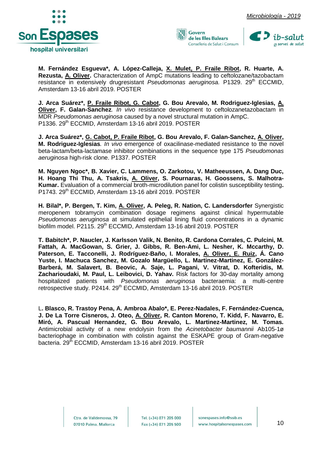







**M. Fernández Esgueva\*, A. López-Calleja, X. Mulet, P. Fraile Ribot, R. Huarte, A. Rezusta, A. Oliver.** Characterization of AmpC mutations leading to ceftolozane/tazobactam resistance in extensively drugresistant *Pseudomonas aeruginosa*. P1329. 29<sup>th</sup> ECCMID, Amsterdam 13-16 abril 2019. POSTER

**J. Arca Suárez\*, P. Fraile Ribot, G. Cabot, G. Bou Arevalo, M. Rodriguez-Iglesias, A. Oliver, F. Galan-Sanchez***. In vivo* resistance development to ceftolozanetazobactam in MDR *Pseudomonas aeruginosa* caused by a novel structural mutation in AmpC. P1336. 29<sup>th</sup> ECCMID, Amsterdam 13-16 abril 2019. POSTER

**J. Arca Suárez\*, G. Cabot, P. Fraile Ribot, G. Bou Arevalo, F. Galan-Sanchez, A. Oliver, M. Rodriguez-Iglesias***. In vivo* emergence of oxacilinase-mediated resistance to the novel beta-lactam/beta-lactamase inhibitor combinations in the sequence type 175 *Pseudomonas aeruginosa* high-risk clone. P1337. POSTER

**M. Nguyen Ngoc\*, B. Xavier, C. Lammens, O. Zarkotou, V. Matheeussen, A. Dang Duc, H. Hoang Thi Thu, A. Tsakris, A. Oliver, S. Pournaras, H. Goossens, S. Malhotra-Kumar.** Evaluation of a commercial broth-microdilution panel for colistin susceptibility testing**.** P1743. 29<sup>th</sup> ECCMID, Amsterdam 13-16 abril 2019. POSTER

**H. Bilal\*, P. Bergen, T. Kim, A. Oliver, A. Peleg, R. Nation, C. Landersdorfer** Synergistic meropenem tobramycin combination dosage regimens against clinical hypermutable *Pseudomonas aeruginosa* at simulated epithelial lining fluid concentrations in a dynamic biofilm model. P2115. 29<sup>th</sup> ECCMID, Amsterdam 13-16 abril 2019. POSTER

**T. Babitch\*, P. Naucler, J. Karlsson Valik, N. Benito, R. Cardona Corrales, C. Pulcini, M. Fattah, A. MacGowan, S. Grier, J. Gibbs, R. Ben-Ami, L. Nesher, K. Mccarthy, D. Paterson, E. Tacconelli, J. Rodríguez-Baño, I. Morales, A. Oliver, E. Ruiz, Á. Cano Yuste, I. Machuca Sanchez, M. Gozalo Margüello, L. Martinez-Martinez, E. González-Barberá, M. Salavert, B. Beovic, A. Saje, L. Pagani, V. Vitrat, D. Kofteridis, M. Zacharioudaki, M. Paul, L. Leibovici, D. Yahav.** Risk factors for 30-day mortality among hospitalized patients with *Pseudomonas aeruginosa* bacteraemia: a multi-centre retrospective study. P2414. 29<sup>th</sup> ECCMID. Amsterdam 13-16 abril 2019. POSTER

L**. Blasco, R. Trastoy Pena, A. Ambroa Abalo\*, E. Perez-Nadales, F. Fernández-Cuenca, J. De La Torre Cisneros, J. Oteo, A. Oliver, R. Canton Moreno, T. Kidd, F. Navarro, E. Miró, A. Pascual Hernandez, G. Bou Arevalo, L. Martinez-Martinez, M. Tomas***.* Antimicrobial activity of a new endolysin from the *Acinetobacter baumannii* Ab105-1ø bacteriophage in combination with colistin against the ESKAPE group of Gram-negative bacteria. 29<sup>th</sup> ECCMID, Amsterdam 13-16 abril 2019. POSTER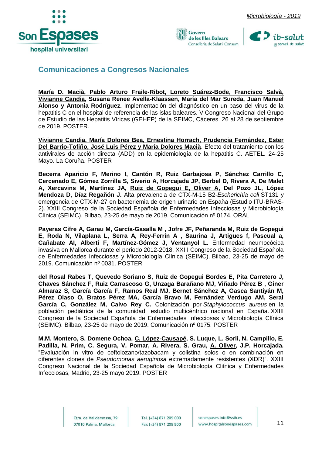





#### <span id="page-11-0"></span>**Comunicaciones a Congresos Nacionales**

**María D. Macià, Pablo Arturo Fraile-Ribot, Loreto Suárez-Bode, Francisco Salvà, Vivianne Candia, Susana Renee Avella-Klaassen, María del Mar Sureda, Juan Manuel Alonso y Antonia Rodríguez.** Implementación del diagnóstico en un paso del virus de la hepatitis C en el hospital de referencia de las islas baleares. V Congreso Nacional del Grupo de Estudio de las Hepatitis Víricas (GEHEP) de la SEIMC, Cáceres. 26 al 28 de septiembre de 2019. POSTER.

**Vivianne Candia, María Dolores Bea, Ernestina Horrach, Prudencia Fernández, Ester Del Barrio-Tofiño, José Luis Pérez y María Dolores Macià**. Efecto del tratamiento con los antivirales de acción directa (ADD) en la epidemiología de la hepatitis C. AETEL. 24-25 Mayo. La Coruña. POSTER

**Becerra Aparicio F, Merino I, Cantón R, Ruiz Garbajosa P, Sánchez Carrillo C, Cercenado E, Gómez Zorrilla S, Siverio A, Horcajada JP, Berbel D, Rivera A, De Malet A, Xercavins M, Martínez JA, Ruiz de Gopegui E, Oliver A, Del Pozo JL, López Mendoza D, Díaz Regañón J.** Alta prevalencia de CTX-M-15 B2-*Escherichia coli* ST131 y emergencia de CTX-M-27 en bacteriemia de origen urinario en España (Estudio ITU-BRAS-2). XXIII Congreso de la Sociedad Española de Enfermedades Infecciosas y Microbiología Clínica (SEIMC). Bilbao, 23-25 de mayo de 2019. Comunicación nº 0174. ORAL

**Payeras Cifre A, Garau M, García-Gasalla M , Jofre JF, Peñaranda M, Ruiz de Gopegui E, Roda N, Vilaplana L, Serra A, Rey-Ferrín A , Saurina J, Artigues f, Pascual a, Cañabate AI, Albertí F, Martínez-Gómez J, Ventanyol L.** Enfermedad neumocócica invasiva en Mallorca durante el periodo 2012-2018. XXIII Congreso de la Sociedad Española de Enfermedades Infecciosas y Microbiología Clínica (SEIMC). Bilbao, 23-25 de mayo de 2019. Comunicación nº 0031. POSTER

**del Rosal Rabes T, Quevedo Soriano S, Ruiz de Gopegui Bordes E, Pita Carretero J, Chaves Sánchez F, Ruiz Carrascoso G, Unzaga Barañano MJ, Viñado Pérez B , Giner Almaraz S, García García F, Ramos Real MJ, Bernet Sánchez A, Gasca Santiyán M, Pérez Olaso O, Bratos Pérez MA, García Bravo M, Fernández Verdugo AM, Seral García C, González M, Calvo Rey C.** Colonización por *Staphylococcus aureus* en la población pediátrica de la comunidad: estudio multicéntrico nacional en España. XXIII Congreso de la Sociedad Española de Enfermedades Infecciosas y Microbiología Clínica (SEIMC). Bilbao, 23-25 de mayo de 2019. Comunicación nº 0175. POSTER

**M.M. Montero, S. Domene Ochoa, C. López-Causapé, S. Luque, L. Sorli, N. Campillo, E. Padilla, N. Prim, C. Segura, V. Pomar, A. Rivera, S. Grau, A. Oliver, J.P. Horcajada.** "Evaluación In vitro de ceftolozano/tazobacam y colistina solos o en combinación en diferentes clones de *Pseudomonas aeruginosa* extremadamente resistentes (XDR)". XXIII Congreso Nacional de la Sociedad Española de Microbiología Cliínica y Enfermedades Infecciosas, Madrid, 23-25 mayo 2019. POSTER

> Ctra, de Valldemossa, 79 07010 Palma. Mallorca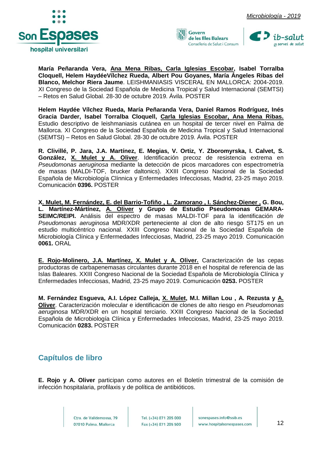







**María Peñaranda Vera, Ana Mena Ribas, Carla Iglesias Escobar, Isabel Torralba Cloquell, Helem HaydéeVílchez Rueda, Albert Pou Goyanes, María Ángeles Ribas del Blanco, Melchor Riera Jaume**. LEISHMANIASIS VISCERAL EN MALLORCA: 2004-2019. XI Congreso de la Sociedad Española de Medicina Tropical y Salud Internacional (SEMTSI) – Retos en Salud Global. 28-30 de octubre 2019. Ávila. POSTER

**Helem Haydée Vílchez Rueda, María Peñaranda Vera, Daniel Ramos Rodríguez, Inés Gracia Darder, Isabel Torralba Cloquell, Carla Iglesias Escobar, Ana Mena Ribas.** Estudio descriptivo de leishmaniasis cutánea en un hospital de tercer nivel en Palma de Mallorca. XI Congreso de la Sociedad Española de Medicina Tropical y Salud Internacional (SEMTSI) – Retos en Salud Global. 28-30 de octubre 2019. Ávila. POSTER

**R. Clivillé, P. Jara, J.A. Martínez, E. Megias, V. Ortiz, Y. Zboromyrska, I. Calvet, S. González, X. Mulet y A. Oliver**. Identificación precoz de resistencia extrema en *Pseudomonas aeruginosa* mediante la detección de picos marcadores con espectrometría de masas (MALDI-TOF, brucker daltonics). XXIII Congreso Nacional de la Sociedad Española de Microbiología Clínnica y Enfermedades Infecciosas, Madrid, 23-25 mayo 2019. Comunicación **0396.** POSTER

**X. Mulet, M. Fernández, E. del Barrio-Tofiño , L. Zamorano , I. Sánchez-Diener , G. Bou, L. Martínez-Mártínez, A. Oliver y Grupo de Estudio Pseudomonas GEMARA-SEIMC/REIPI.** Análisis del espectro de masas MALDI-TOF para la identificación *de Pseudomonas aeruginosa* MDR/XDR perteneciente al clon de alto riesgo ST175 en un estudio multicéntrico nacional. XXIII Congreso Nacional de la Sociedad Española de Microbiología Clínica y Enfermedades Infecciosas, Madrid, 23-25 mayo 2019. Comunicación **0061.** ORAL

**E. Rojo-Molinero, J.A. Martínez, X. Mulet y A. Oliver.** Caracterización de las cepas productoras de carbapenemasas circulantes durante 2018 en el hospital de referencia de las Islas Baleares. XXIII Congreso Nacional de la Sociedad Española de Microbiología Clínica y Enfermedades Infecciosas, Madrid, 23-25 mayo 2019. Comunicación **0253.** POSTER

**M. Fernández Esgueva, A.I. López Calleja, X. Mulet, M.I. Millan Lou , A. Rezusta y A. Oliver**. Caracterización molecular e identificación de clones de alto riesgo en *Pseudomonas aeruginosa* MDR/XDR en un hospital terciario. XXIII Congreso Nacional de la Sociedad Española de Microbiología Clínica y Enfermedades Infecciosas, Madrid, 23-25 mayo 2019. Comunicación **0283.** POSTER

#### <span id="page-12-0"></span>**Capítulos de libro**

**E. Rojo y A. Oliver** participan como autores en el Boletín trimestral de la comisión de infección hospitalaria, profilaxis y de política de antibióticos.

> Ctra, de Valldemossa, 79 07010 Palma. Mallorca

Tel. (+34) 871 205 000 Fax (+34) 871 205 500

sonespases.info@ssib.es www.hospitalsonespases.com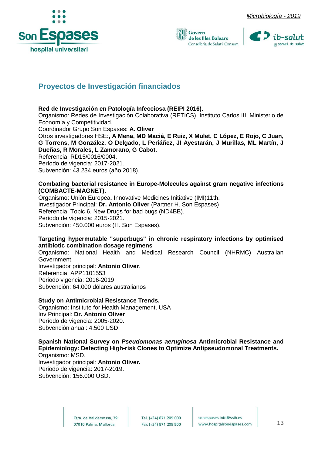







#### <span id="page-13-0"></span>**Proyectos de Investigación financiados**

#### **Red de Investigación en Patología Infecciosa (REIPI 2016).**

Organismo: Redes de Investigación Colaborativa (RETICS), Instituto Carlos III, Ministerio de Economía y Competitividad.

Coordinador Grupo Son Espases: **A. Oliver**

Otros investigadores HSE:**, A Mena, MD Maciá, E Ruiz, X Mulet, C López, E Rojo, C Juan, G Torrens, M González, O Delgado, L Periáñez, JI Ayestarán, J Murillas, ML Martín, J Dueñas, R Morales, L Zamorano, G Cabot.**

Referencia: RD15/0016/0004. Período de vigencia: 2017-2021.

Subvención: 43.234 euros (año 2018).

#### **Combating bacterial resistance in Europe-Molecules against gram negative infections (COMBACTE-MAGNET).**

Organismo: Unión Europea. Innovative Medicines Initiative (IMI)11th. Investigador Principal: **Dr. Antonio Oliver** (Partner H. Son Espases) Referencia: Topic 6. New Drugs for bad bugs (ND4BB). Período de vigencia: 2015-2021. Subvención: 450.000 euros (H. Son Espases).

#### **Targeting hypermutable "superbugs" in chronic respiratory infections by optimised antibiotic combination dosage regimens**

Organismo: National Health and Medical Research Council (NHRMC) Australian Government.

Investigador principal: **Antonio Oliver**. Referencia: APP1101553 Periodo vigencia: 2016-2019 Subvención: 64.000 dólares australianos

#### **Study on Antimicrobial Resistance Trends.**

Organismo: Institute for Health Management, USA Inv Principal: **Dr. Antonio Oliver** Período de vigencia: 2005-2020. Subvención anual: 4.500 USD

#### **Spanish National Survey on** *Pseudomonas aeruginosa* **Antimicrobial Resistance and Epidemiology: Detecting High-risk Clones to Optimize Antipseudomonal Treatments.** Organismo: MSD.

Investigador principal: **Antonio Oliver.** Periodo de vigencia: 2017-2019. Subvención: 156.000 USD.

> Ctra, de Valldemossa, 79 07010 Palma. Mallorca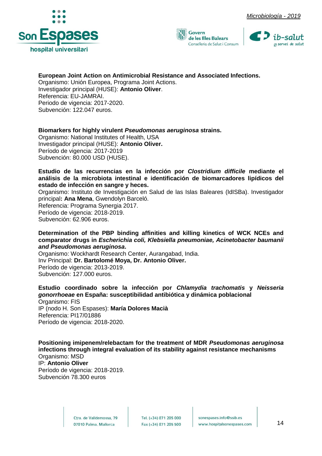





#### **European Joint Action on Antimicrobial Resistance and Associated Infections.**

Organismo: Unión Europea, Programa Joint Actions. Investigador principal (HUSE): **Antonio Oliver**. Referencia: EU-JAMRAI. Periodo de vigencia: 2017-2020. Subvención: 122.047 euros.

#### **Biomarkers for highly virulent** *Pseudomonas aeruginosa* **strains.**

Organismo: National Institutes of Health, USA Investigador principal (HUSE): **Antonio Oliver.** Período de vigencia: 2017-2019 Subvención: 80.000 USD (HUSE).

**Estudio de las recurrencias en la infección por** *Clostridium difficile* **mediante el análisis de la microbiota intestinal e identificación de biomarcadores lipídicos del estado de infección en sangre y heces.**

Organismo: Instituto de Investigación en Salud de las Islas Baleares (IdISBa). Investigador principal**: Ana Mena**, Gwendolyn Barceló.

Referencia: Programa Synergia 2017.

Período de vigencia: 2018-2019.

Subvención: 62.906 euros.

**Determination of the PBP binding affinities and killing kinetics of WCK NCEs and comparator drugs in** *Escherichia coli, Klebsiella pneumoniae, Acinetobacter baumanii and Pseudomonas aeruginosa***.**

Organismo: Wockhardt Research Center, Aurangabad, India. Inv Principal: **Dr. Bartolomé Moya, Dr. Antonio Oliver.** Período de vigencia: 2013-2019. Subvención: 127.000 euros.

**Estudio coordinado sobre la infección por** *Chlamydia trachomatis* **y** *Neisseria gonorrhoeae* **en España: susceptibilidad antibiótica y dinámica poblacional** Organismo: FIS IP (nodo H. Son Espases): **María Dolores Macià** Referencia: PI17/01886 Período de vigencia: 2018-2020.

**Positioning imipenem/relebactam for the treatment of MDR** *Pseudomonas aeruginosa* **infections through integral evaluation of its stability against resistance mechanisms** Organismo: MSD IP: **Antonio Oliver** Período de vigencia: 2018-2019. Subvención 78.300 euros

> Ctra, de Valldemossa, 79 07010 Palma. Mallorca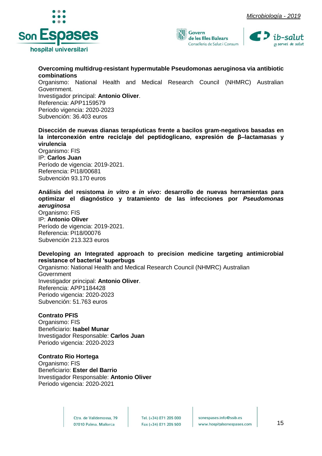





#### **Overcoming multidrug-resistant hypermutable Pseudomonas aeruginosa via antibiotic combinations**

Organismo: National Health and Medical Research Council (NHMRC) Australian Government.

Investigador principal: **Antonio Oliver**. Referencia: APP1159579 Periodo vigencia: 2020-2023 Subvención: 36.403 euros

**Disección de nuevas dianas terapéuticas frente a bacilos gram-negativos basadas en la interconexión entre reciclaje del peptidoglicano, expresión de β–lactamasas y virulencia**  Organismo: FIS

IP: **Carlos Juan** Período de vigencia: 2019-2021. Referencia: PI18/00681 Subvención 93.170 euros

**Análisis del resistoma** *in vitro* **e** *in vivo***: desarrollo de nuevas herramientas para optimizar el diagnóstico y tratamiento de las infecciones por** *Pseudomonas aeruginosa*

Organismo: FIS IP: **Antonio Oliver** Período de vigencia: 2019-2021. Referencia: PI18/00076 Subvención 213.323 euros

**Developing an Integrated approach to precision medicine targeting antimicrobial resistance of bacterial 'superbugs**

Organismo: National Health and Medical Research Council (NHMRC) Australian **Government** Investigador principal: **Antonio Oliver**. Referencia: APP1184428 Periodo vigencia: 2020-2023 Subvención: 51.763 euros

#### **Contrato PFIS**

Organismo: FIS Beneficiario: **Isabel Munar** Investigador Responsable: **Carlos Juan** Periodo vigencia: 2020-2023

#### **Contrato Rio Hortega**

Organismo: FIS Beneficiario: **Ester del Barrio**  Investigador Responsable: **Antonio Oliver** Periodo vigencia: 2020-2021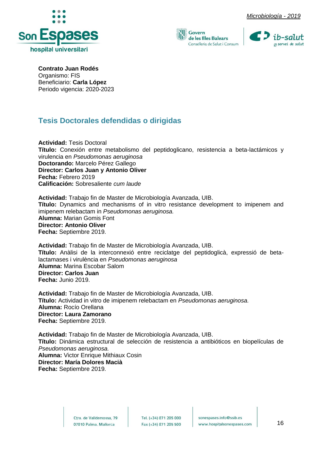





**Contrato Juan Rodés**

Organismo: FIS Beneficiario: **Carla López** Periodo vigencia: 2020-2023

#### <span id="page-16-0"></span>**Tesis Doctorales defendidas o dirigidas**

**Actividad:** Tesis Doctoral **Título:** Conexión entre metabolismo del peptidoglicano, resistencia a beta-lactámicos y virulencia en *Pseudomonas aeruginosa* **Doctorando:** Marcelo Pérez Gallego **Director: Carlos Juan y Antonio Oliver Fecha:** Febrero 2019 **Calificación:** Sobresaliente *cum laude*

**Actividad:** Trabajo fin de Master de Microbiología Avanzada, UIB. **Título:** Dynamics and mechanisms of in vitro resistance development to imipenem and imipenem relebactam in *Pseudomonas aeruginosa.* **Alumna:** Marian Gomis Font **Director: Antonio Oliver Fecha:** Septiembre 2019.

**Actividad:** Trabajo fin de Master de Microbiología Avanzada, UIB. **Título:** Anàlisi de la interconnexió entre reciclatge del peptidoglicà, expressió de betalactamases i virulència en *Pseudomonas aeruginosa* **Alumna:** Marina Escobar Salom **Director: Carlos Juan Fecha:** Junio 2019.

**Actividad:** Trabajo fin de Master de Microbiología Avanzada, UIB. **Título:** Actividad in vitro de imipenem relebactam en *Pseudomonas aeruginosa.* **Alumna:** Rocío Orellana **Director: Laura Zamorano Fecha:** Septiembre 2019.

**Actividad:** Trabajo fin de Master de Microbiología Avanzada, UIB. **Título:** Dinámica estructural de selección de resistencia a antibióticos en biopelículas de *Pseudomonas aeruginosa.* **Alumna:** Victor Enrique Mithiaux Cosin **Director: María Dolores Macià Fecha:** Septiembre 2019.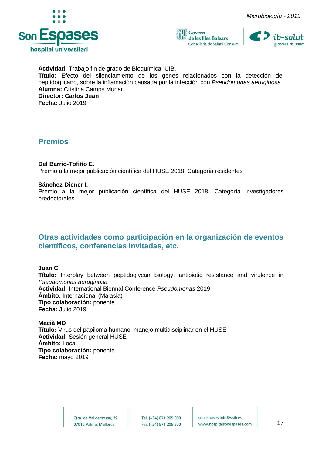





**Actividad:** Trabajo fin de grado de Bioquímica, UIB. **Título:** Efecto del silenciamiento de los genes relacionados con la detección del peptidoglicano, sobre la inflamación causada por la infección con *Pseudomonas aeruginosa* **Alumna:** Cristina Camps Munar. **Director: Carlos Juan Fecha:** Julio 2019.

#### <span id="page-17-0"></span>**Premios**

#### **Del Barrio-Tofiño E.**

Premio a la mejor publicación científica del HUSE 2018. Categoría residentes

#### **Sánchez-Diener I.**

Premio a la mejor publicación científica del HUSE 2018. Categoría investigadores predoctorales

#### <span id="page-17-1"></span>**Otras actividades como participación en la organización de eventos científicos, conferencias invitadas, etc.**

**Juan C**

**Título:** Interplay between peptidoglycan biology, antibiotic resistance and virulence in *Pseudomonas aeruginosa* **Actividad:** International Biennal Conference *Pseudomonas* 2019 **Ámbito:** Internacional (Malasia) **Tipo colaboración:** ponente **Fecha:** Julio 2019

**Macià MD Título:** Virus del papiloma humano: manejo multidisciplinar en el HUSE **Actividad:** Sesión general HUSE **Ámbito:** Local **Tipo colaboración:** ponente **Fecha:** mayo 2019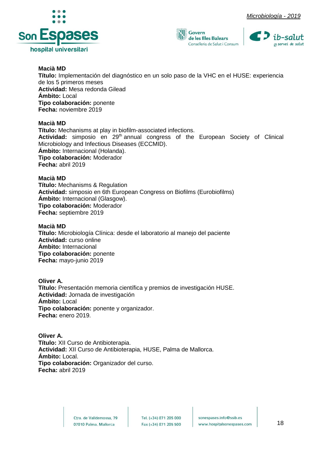





#### **Macià MD**

**Título:** Implementación del diagnóstico en un solo paso de la VHC en el HUSE: experiencia de los 5 primeros meses **Actividad:** Mesa redonda Gilead **Ámbito:** Local **Tipo colaboración:** ponente **Fecha:** noviembre 2019

#### **Macià MD**

**Título:** Mechanisms at play in biofilm-associated infections. **Actividad:** simposio en 29th annual congress of the European Society of Clinical Microbiology and Infectious Diseases (ECCMID). **Ámbito:** Internacional (Holanda). **Tipo colaboración:** Moderador **Fecha:** abril 2019

#### **Macià MD**

**Título:** Mechanisms & Regulation **Actividad:** simposio en 6th European Congress on Biofilms (Eurobiofilms) **Ámbito:** Internacional (Glasgow). **Tipo colaboración:** Moderador **Fecha:** septiembre 2019

#### **Macià MD**

**Título:** Microbiología Clínica: desde el laboratorio al manejo del paciente **Actividad:** curso online **Ámbito:** Internacional **Tipo colaboración:** ponente **Fecha:** mayo-junio 2019

**Oliver A. Título:** Presentación memoria científica y premios de investigación HUSE. **Actividad:** Jornada de investigación **Ámbito:** Local **Tipo colaboración:** ponente y organizador. **Fecha:** enero 2019.

**Oliver A. Título:** XII Curso de Antibioterapia. **Actividad:** XII Curso de Antibioterapia, HUSE, Palma de Mallorca. **Ámbito:** Local. **Tipo colaboración:** Organizador del curso. **Fecha:** abril 2019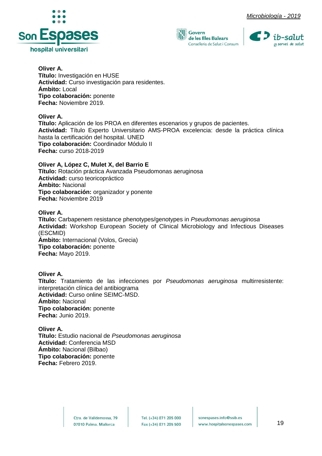





**Oliver A. Título:** Investigación en HUSE **Actividad:** Curso investigación para residentes. **Ámbito:** Local **Tipo colaboración:** ponente **Fecha:** Noviembre 2019.

#### **Oliver A.**

**Título:** Aplicación de los PROA en diferentes escenarios y grupos de pacientes. **Actividad:** Título Experto Universitario AMS-PROA excelencia: desde la práctica clínica hasta la certificación del hospital. UNED **Tipo colaboración:** Coordinador Módulo II **Fecha:** curso 2018-2019

**Oliver A, López C, Mulet X, del Barrio E Título:** Rotación práctica Avanzada Pseudomonas aeruginosa **Actividad:** curso teoricopráctico **Ámbito:** Nacional **Tipo colaboración:** organizador y ponente **Fecha:** Noviembre 2019

**Oliver A. Título:** Carbapenem resistance phenotypes/genotypes in *Pseudomonas aeruginosa* **Actividad:** Workshop European Society of Clinical Microbiology and Infectious Diseases (ESCMID) **Ámbito:** Internacional (Volos, Grecia) **Tipo colaboración:** ponente **Fecha:** Mayo 2019.

**Oliver A. Título:** Tratamiento de las infecciones por *Pseudomonas aeruginosa* multirresistente: interpretación clínica del antibiograma **Actividad:** Curso online SEIMC-MSD. **Ámbito:** Nacional **Tipo colaboración:** ponente **Fecha:** Junio 2019.

**Oliver A. Título:** Estudio nacional de *Pseudomonas aeruginosa* **Actividad:** Conferencia MSD **Ámbito:** Nacional (Bilbao) **Tipo colaboración:** ponente **Fecha:** Febrero 2019.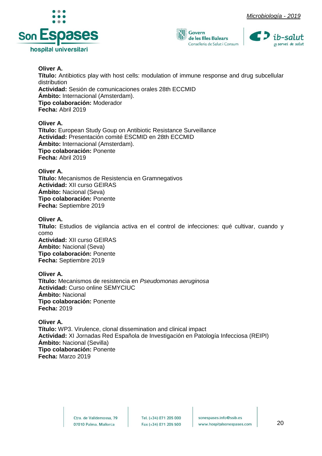





#### **Oliver A.**

**Título:** Antibiotics play with host cells: modulation of immune response and drug subcellular distribution **Actividad:** Sesión de comunicaciones orales 28th ECCMID **Ámbito:** Internacional (Amsterdam). **Tipo colaboración:** Moderador **Fecha:** Abril 2019

#### **Oliver A.**

**Título:** European Study Goup on Antibiotic Resistance Surveillance **Actividad:** Presentación comité ESCMID en 28th ECCMID **Ámbito:** Internacional (Amsterdam). **Tipo colaboración:** Ponente **Fecha:** Abril 2019

#### **Oliver A.**

**Título:** Mecanismos de Resistencia en Gramnegativos **Actividad:** XII curso GEIRAS **Ámbito:** Nacional (Seva) **Tipo colaboración:** Ponente **Fecha:** Septiembre 2019

#### **Oliver A.**

**Título:** Estudios de vigilancia activa en el control de infecciones: qué cultivar, cuando y como **Actividad:** XII curso GEIRAS **Ámbito:** Nacional (Seva) **Tipo colaboración:** Ponente **Fecha:** Septiembre 2019

**Oliver A. Título:** Mecanismos de resistencia en *Pseudomonas aeruginosa* **Actividad:** Curso online SEMYCIUC **Ámbito:** Nacional **Tipo colaboración:** Ponente **Fecha:** 2019

#### **Oliver A. Título:** WP3. Virulence, clonal dissemination and clinical impact **Actividad:** XI Jornadas Red Española de Investigación en Patología Infecciosa (REIPI) **Ámbito:** Nacional (Sevilla) **Tipo colaboración:** Ponente **Fecha:** Marzo 2019